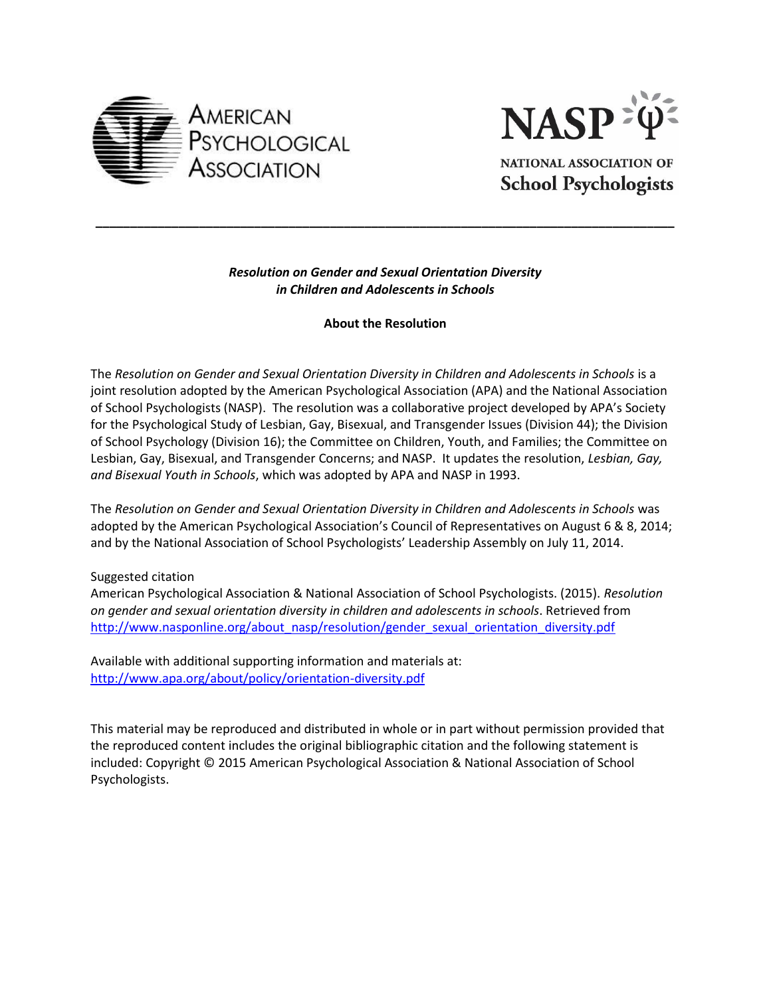



**NATIONAL ASSOCIATION OF School Psychologists** 

# *Resolution on Gender and Sexual Orientation Diversity in Children and Adolescents in Schools*

**\_\_\_\_\_\_\_\_\_\_\_\_\_\_\_\_\_\_\_\_\_\_\_\_\_\_\_\_\_\_\_\_\_\_\_\_\_\_\_\_\_\_\_\_\_\_\_\_\_\_\_\_\_\_\_\_\_\_\_\_\_\_\_\_\_\_\_\_\_\_\_\_\_\_\_\_\_\_\_\_\_\_\_\_**

# **About the Resolution**

The *Resolution on Gender and Sexual Orientation Diversity in Children and Adolescents in Schools* is a joint resolution adopted by the American Psychological Association (APA) and the National Association of School Psychologists (NASP). The resolution was a collaborative project developed by APA's Society for the Psychological Study of Lesbian, Gay, Bisexual, and Transgender Issues (Division 44); the Division of School Psychology (Division 16); the Committee on Children, Youth, and Families; the Committee on Lesbian, Gay, Bisexual, and Transgender Concerns; and NASP. It updates the resolution, *Lesbian, Gay, and Bisexual Youth in Schools*, which was adopted by APA and NASP in 1993.

The *Resolution on Gender and Sexual Orientation Diversity in Children and Adolescents in Schools* was adopted by the American Psychological Association's Council of Representatives on August 6 & 8, 2014; and by the National Association of School Psychologists' Leadership Assembly on July 11, 2014.

### Suggested citation

American Psychological Association & National Association of School Psychologists. (2015). *Resolution on gender and sexual orientation diversity in children and adolescents in schools*. Retrieved from [http://www.nasponline.org/about\\_nasp/resolution/gender\\_sexual\\_orientation\\_diversity.pdf](http://www.nasponline.org/about_nasp/resolution/gender_sexual_orientation_diversity.pdf)

Available with additional supporting information and materials at: <http://www.apa.org/about/policy/orientation-diversity.pdf>

This material may be reproduced and distributed in whole or in part without permission provided that the reproduced content includes the original bibliographic citation and the following statement is included: Copyright © 2015 American Psychological Association & National Association of School Psychologists.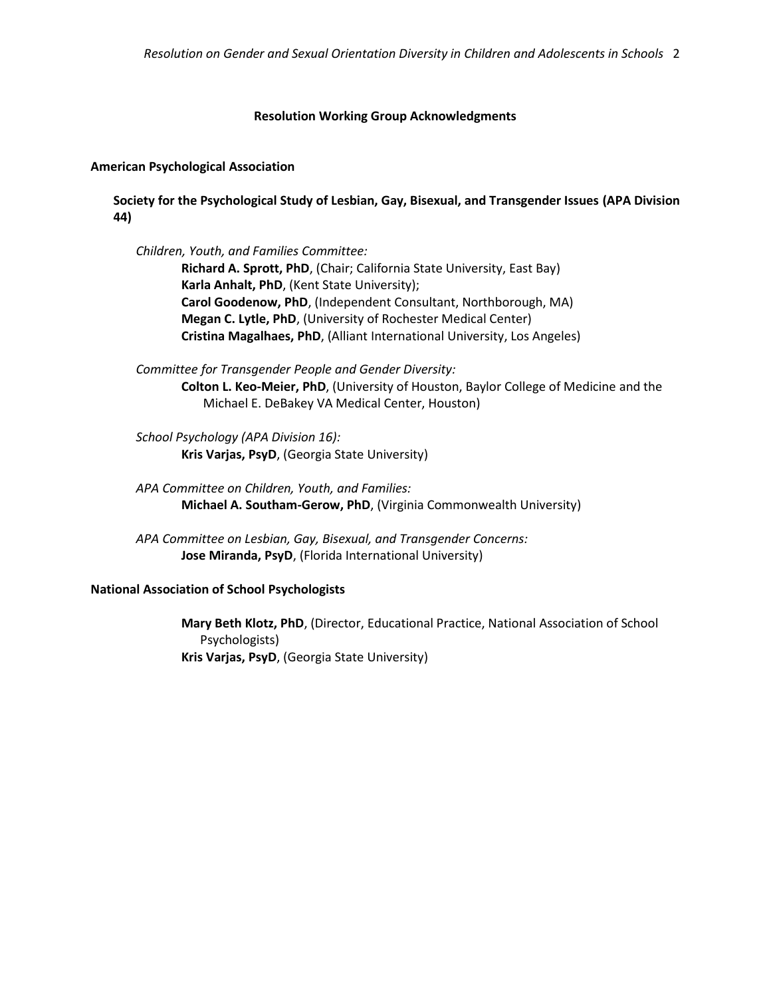### **Resolution Working Group Acknowledgments**

#### **American Psychological Association**

### **Society for the Psychological Study of Lesbian, Gay, Bisexual, and Transgender Issues (APA Division 44)**

- *Children, Youth, and Families Committee:* **Richard A. Sprott, PhD**, (Chair; California State University, East Bay) **Karla Anhalt, PhD**, (Kent State University); **Carol Goodenow, PhD**, (Independent Consultant, Northborough, MA) **Megan C. Lytle, PhD**, (University of Rochester Medical Center) **Cristina Magalhaes, PhD**, (Alliant International University, Los Angeles)
- *Committee for Transgender People and Gender Diversity:* **Colton L. Keo-Meier, PhD**, (University of Houston, Baylor College of Medicine and the Michael E. DeBakey VA Medical Center, Houston)
- *School Psychology (APA Division 16):* **Kris Varjas, PsyD**, (Georgia State University)
- *APA Committee on Children, Youth, and Families:* **Michael A. Southam-Gerow, PhD**, (Virginia Commonwealth University)
- *APA Committee on Lesbian, Gay, Bisexual, and Transgender Concerns:* **Jose Miranda, PsyD**, (Florida International University)

### **National Association of School Psychologists**

**Mary Beth Klotz, PhD**, (Director, Educational Practice, National Association of School Psychologists) **Kris Varjas, PsyD**, (Georgia State University)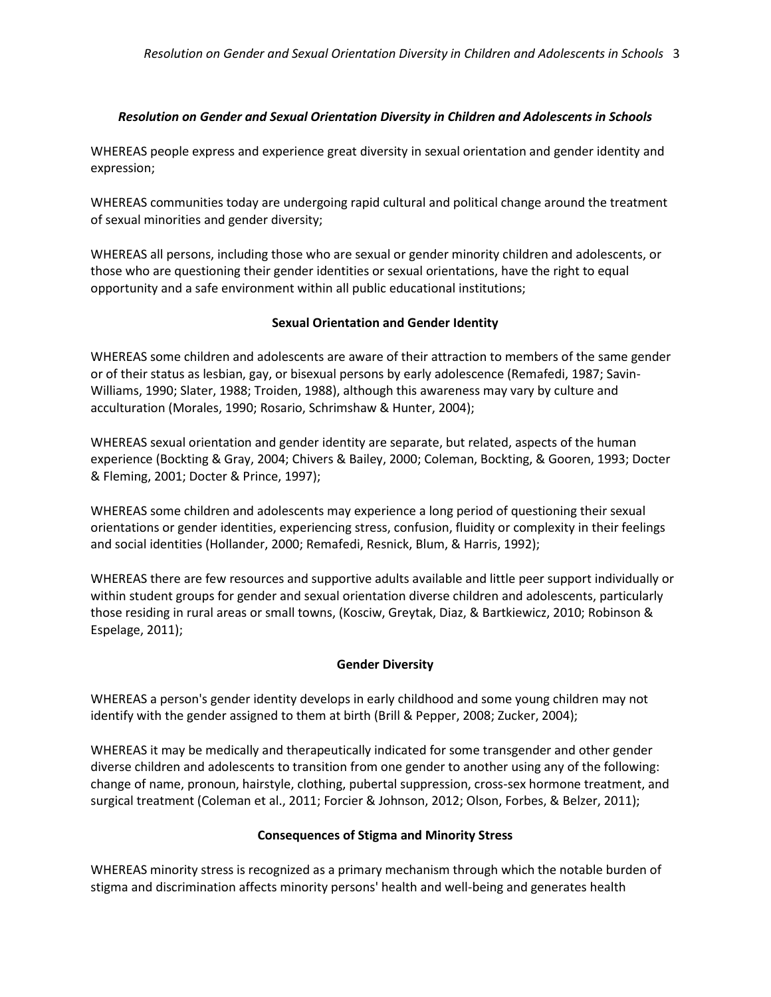### *Resolution on Gender and Sexual Orientation Diversity in Children and Adolescents in Schools*

WHEREAS people express and experience great diversity in sexual orientation and gender identity and expression;

WHEREAS communities today are undergoing rapid cultural and political change around the treatment of sexual minorities and gender diversity;

WHEREAS all persons, including those who are sexual or gender minority children and adolescents, or those who are questioning their gender identities or sexual orientations, have the right to equal opportunity and a safe environment within all public educational institutions;

### **Sexual Orientation and Gender Identity**

WHEREAS some children and adolescents are aware of their attraction to members of the same gender or of their status as lesbian, gay, or bisexual persons by early adolescence (Remafedi, 1987; Savin-Williams, 1990; Slater, 1988; Troiden, 1988), although this awareness may vary by culture and acculturation (Morales, 1990; Rosario, Schrimshaw & Hunter, 2004);

WHEREAS sexual orientation and gender identity are separate, but related, aspects of the human experience (Bockting & Gray, 2004; Chivers & Bailey, 2000; Coleman, Bockting, & Gooren, 1993; Docter & Fleming, 2001; Docter & Prince, 1997);

WHEREAS some children and adolescents may experience a long period of questioning their sexual orientations or gender identities, experiencing stress, confusion, fluidity or complexity in their feelings and social identities (Hollander, 2000; Remafedi, Resnick, Blum, & Harris, 1992);

WHEREAS there are few resources and supportive adults available and little peer support individually or within student groups for gender and sexual orientation diverse children and adolescents, particularly those residing in rural areas or small towns, (Kosciw, Greytak, Diaz, & Bartkiewicz, 2010; Robinson & Espelage, 2011);

### **Gender Diversity**

WHEREAS a person's gender identity develops in early childhood and some young children may not identify with the gender assigned to them at birth (Brill & Pepper, 2008; Zucker, 2004);

WHEREAS it may be medically and therapeutically indicated for some transgender and other gender diverse children and adolescents to transition from one gender to another using any of the following: change of name, pronoun, hairstyle, clothing, pubertal suppression, cross-sex hormone treatment, and surgical treatment (Coleman et al., 2011; Forcier & Johnson, 2012; Olson, Forbes, & Belzer, 2011);

### **Consequences of Stigma and Minority Stress**

WHEREAS minority stress is recognized as a primary mechanism through which the notable burden of stigma and discrimination affects minority persons' health and well-being and generates health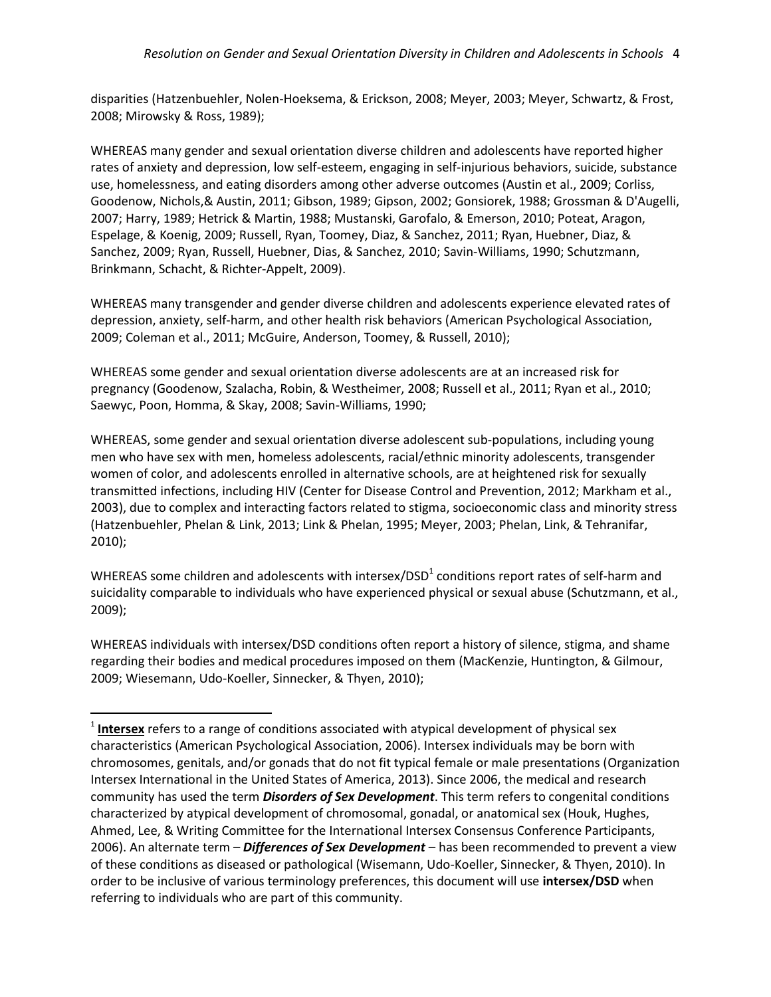disparities (Hatzenbuehler, Nolen-Hoeksema, & Erickson, 2008; Meyer, 2003; Meyer, Schwartz, & Frost, 2008; Mirowsky & Ross, 1989);

WHEREAS many gender and sexual orientation diverse children and adolescents have reported higher rates of anxiety and depression, low self-esteem, engaging in self-injurious behaviors, suicide, substance use, homelessness, and eating disorders among other adverse outcomes (Austin et al., 2009; Corliss, Goodenow, Nichols,& Austin, 2011; Gibson, 1989; Gipson, 2002; Gonsiorek, 1988; Grossman & D'Augelli, 2007; Harry, 1989; Hetrick & Martin, 1988; Mustanski, Garofalo, & Emerson, 2010; Poteat, Aragon, Espelage, & Koenig, 2009; Russell, Ryan, Toomey, Diaz, & Sanchez, 2011; Ryan, Huebner, Diaz, & Sanchez, 2009; Ryan, Russell, Huebner, Dias, & Sanchez, 2010; Savin-Williams, 1990; Schutzmann, Brinkmann, Schacht, & Richter-Appelt, 2009).

WHEREAS many transgender and gender diverse children and adolescents experience elevated rates of depression, anxiety, self-harm, and other health risk behaviors (American Psychological Association, 2009; Coleman et al., 2011; McGuire, Anderson, Toomey, & Russell, 2010);

WHEREAS some gender and sexual orientation diverse adolescents are at an increased risk for pregnancy (Goodenow, Szalacha, Robin, & Westheimer, 2008; Russell et al., 2011; Ryan et al., 2010; Saewyc, Poon, Homma, & Skay, 2008; Savin-Williams, 1990;

WHEREAS, some gender and sexual orientation diverse adolescent sub-populations, including young men who have sex with men, homeless adolescents, racial/ethnic minority adolescents, transgender women of color, and adolescents enrolled in alternative schools, are at heightened risk for sexually transmitted infections, including HIV (Center for Disease Control and Prevention, 2012; Markham et al., 2003), due to complex and interacting factors related to stigma, socioeconomic class and minority stress (Hatzenbuehler, Phelan & Link, 2013; Link & Phelan, 1995; Meyer, 2003; Phelan, Link, & Tehranifar, 2010);

WHEREAS some children and adolescents with intersex/DSD<sup>1</sup> conditions report rates of self-harm and suicidality comparable to individuals who have experienced physical or sexual abuse (Schutzmann, et al., 2009);

WHEREAS individuals with intersex/DSD conditions often report a history of silence, stigma, and shame regarding their bodies and medical procedures imposed on them (MacKenzie, Huntington, & Gilmour, 2009; Wiesemann, Udo-Koeller, Sinnecker, & Thyen, 2010);

 $\overline{a}$ 

<sup>&</sup>lt;sup>1</sup> Intersex refers to a range of conditions associated with atypical development of physical sex characteristics (American Psychological Association, 2006). Intersex individuals may be born with chromosomes, genitals, and/or gonads that do not fit typical female or male presentations (Organization Intersex International in the United States of America, 2013). Since 2006, the medical and research community has used the term *Disorders of Sex Development*. This term refers to congenital conditions characterized by atypical development of chromosomal, gonadal, or anatomical sex (Houk, Hughes, Ahmed, Lee, & Writing Committee for the International Intersex Consensus Conference Participants, 2006). An alternate term – *Differences of Sex Development* – has been recommended to prevent a view of these conditions as diseased or pathological (Wisemann, Udo-Koeller, Sinnecker, & Thyen, 2010). In order to be inclusive of various terminology preferences, this document will use **intersex/DSD** when referring to individuals who are part of this community.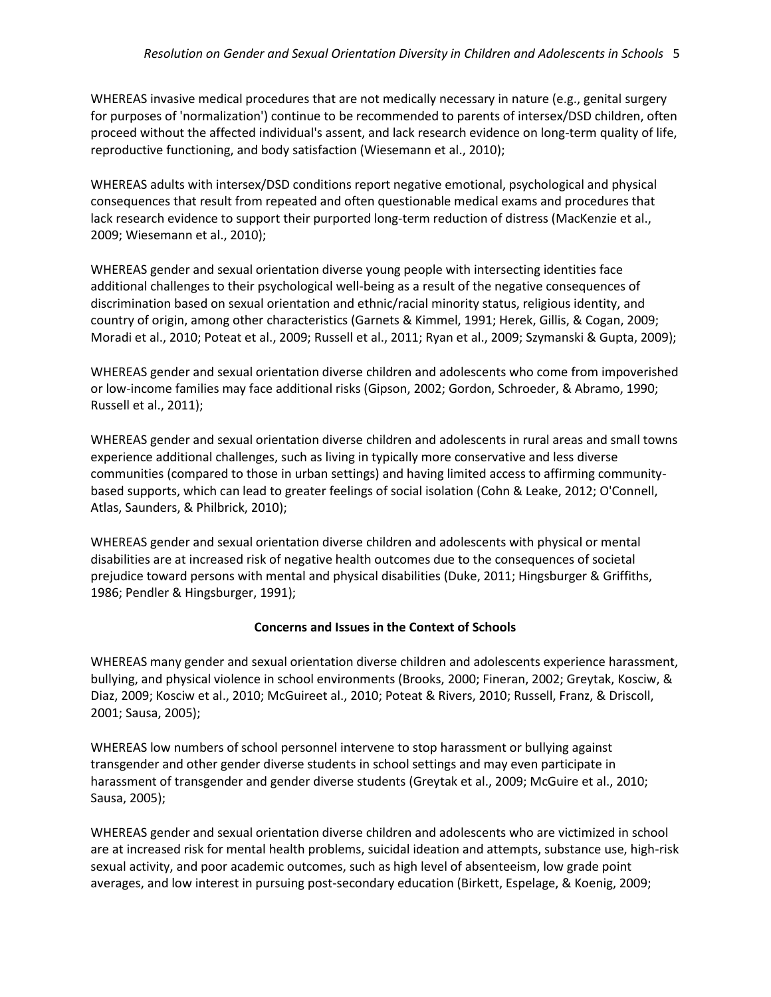WHEREAS invasive medical procedures that are not medically necessary in nature (e.g., genital surgery for purposes of 'normalization') continue to be recommended to parents of intersex/DSD children, often proceed without the affected individual's assent, and lack research evidence on long-term quality of life, reproductive functioning, and body satisfaction (Wiesemann et al., 2010);

WHEREAS adults with intersex/DSD conditions report negative emotional, psychological and physical consequences that result from repeated and often questionable medical exams and procedures that lack research evidence to support their purported long-term reduction of distress (MacKenzie et al., 2009; Wiesemann et al., 2010);

WHEREAS gender and sexual orientation diverse young people with intersecting identities face additional challenges to their psychological well-being as a result of the negative consequences of discrimination based on sexual orientation and ethnic/racial minority status, religious identity, and country of origin, among other characteristics (Garnets & Kimmel, 1991; Herek, Gillis, & Cogan, 2009; Moradi et al., 2010; Poteat et al., 2009; Russell et al., 2011; Ryan et al., 2009; Szymanski & Gupta, 2009);

WHEREAS gender and sexual orientation diverse children and adolescents who come from impoverished or low-income families may face additional risks (Gipson, 2002; Gordon, Schroeder, & Abramo, 1990; Russell et al., 2011);

WHEREAS gender and sexual orientation diverse children and adolescents in rural areas and small towns experience additional challenges, such as living in typically more conservative and less diverse communities (compared to those in urban settings) and having limited access to affirming communitybased supports, which can lead to greater feelings of social isolation (Cohn & Leake, 2012; O'Connell, Atlas, Saunders, & Philbrick, 2010);

WHEREAS gender and sexual orientation diverse children and adolescents with physical or mental disabilities are at increased risk of negative health outcomes due to the consequences of societal prejudice toward persons with mental and physical disabilities (Duke, 2011; Hingsburger & Griffiths, 1986; Pendler & Hingsburger, 1991);

# **Concerns and Issues in the Context of Schools**

WHEREAS many gender and sexual orientation diverse children and adolescents experience harassment, bullying, and physical violence in school environments (Brooks, 2000; Fineran, 2002; Greytak, Kosciw, & Diaz, 2009; Kosciw et al., 2010; McGuireet al., 2010; Poteat & Rivers, 2010; Russell, Franz, & Driscoll, 2001; Sausa, 2005);

WHEREAS low numbers of school personnel intervene to stop harassment or bullying against transgender and other gender diverse students in school settings and may even participate in harassment of transgender and gender diverse students (Greytak et al., 2009; McGuire et al., 2010; Sausa, 2005);

WHEREAS gender and sexual orientation diverse children and adolescents who are victimized in school are at increased risk for mental health problems, suicidal ideation and attempts, substance use, high-risk sexual activity, and poor academic outcomes, such as high level of absenteeism, low grade point averages, and low interest in pursuing post-secondary education (Birkett, Espelage, & Koenig, 2009;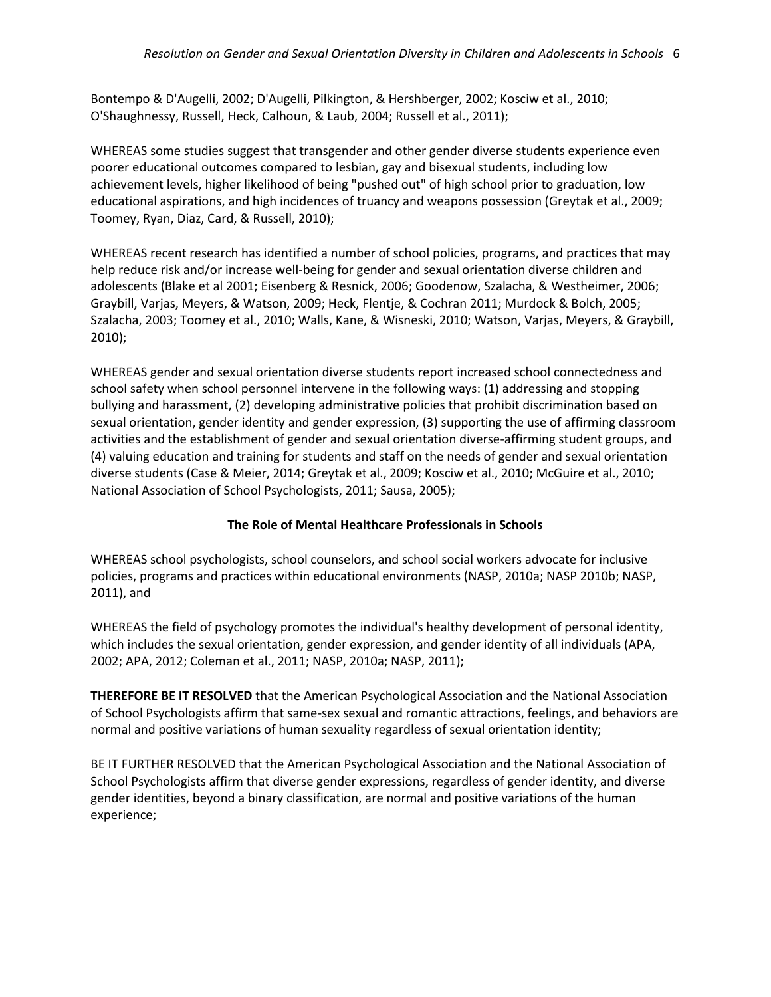Bontempo & D'Augelli, 2002; D'Augelli, Pilkington, & Hershberger, 2002; Kosciw et al., 2010; O'Shaughnessy, Russell, Heck, Calhoun, & Laub, 2004; Russell et al., 2011);

WHEREAS some studies suggest that transgender and other gender diverse students experience even poorer educational outcomes compared to lesbian, gay and bisexual students, including low achievement levels, higher likelihood of being "pushed out" of high school prior to graduation, low educational aspirations, and high incidences of truancy and weapons possession (Greytak et al., 2009; Toomey, Ryan, Diaz, Card, & Russell, 2010);

WHEREAS recent research has identified a number of school policies, programs, and practices that may help reduce risk and/or increase well-being for gender and sexual orientation diverse children and adolescents (Blake et al 2001; Eisenberg & Resnick, 2006; Goodenow, Szalacha, & Westheimer, 2006; Graybill, Varjas, Meyers, & Watson, 2009; Heck, Flentje, & Cochran 2011; Murdock & Bolch, 2005; Szalacha, 2003; Toomey et al., 2010; Walls, Kane, & Wisneski, 2010; Watson, Varjas, Meyers, & Graybill, 2010);

WHEREAS gender and sexual orientation diverse students report increased school connectedness and school safety when school personnel intervene in the following ways: (1) addressing and stopping bullying and harassment, (2) developing administrative policies that prohibit discrimination based on sexual orientation, gender identity and gender expression, (3) supporting the use of affirming classroom activities and the establishment of gender and sexual orientation diverse-affirming student groups, and (4) valuing education and training for students and staff on the needs of gender and sexual orientation diverse students (Case & Meier, 2014; Greytak et al., 2009; Kosciw et al., 2010; McGuire et al., 2010; National Association of School Psychologists, 2011; Sausa, 2005);

### **The Role of Mental Healthcare Professionals in Schools**

WHEREAS school psychologists, school counselors, and school social workers advocate for inclusive policies, programs and practices within educational environments (NASP, 2010a; NASP 2010b; NASP, 2011), and

WHEREAS the field of psychology promotes the individual's healthy development of personal identity, which includes the sexual orientation, gender expression, and gender identity of all individuals (APA, 2002; APA, 2012; Coleman et al., 2011; NASP, 2010a; NASP, 2011);

**THEREFORE BE IT RESOLVED** that the American Psychological Association and the National Association of School Psychologists affirm that same-sex sexual and romantic attractions, feelings, and behaviors are normal and positive variations of human sexuality regardless of sexual orientation identity;

BE IT FURTHER RESOLVED that the American Psychological Association and the National Association of School Psychologists affirm that diverse gender expressions, regardless of gender identity, and diverse gender identities, beyond a binary classification, are normal and positive variations of the human experience;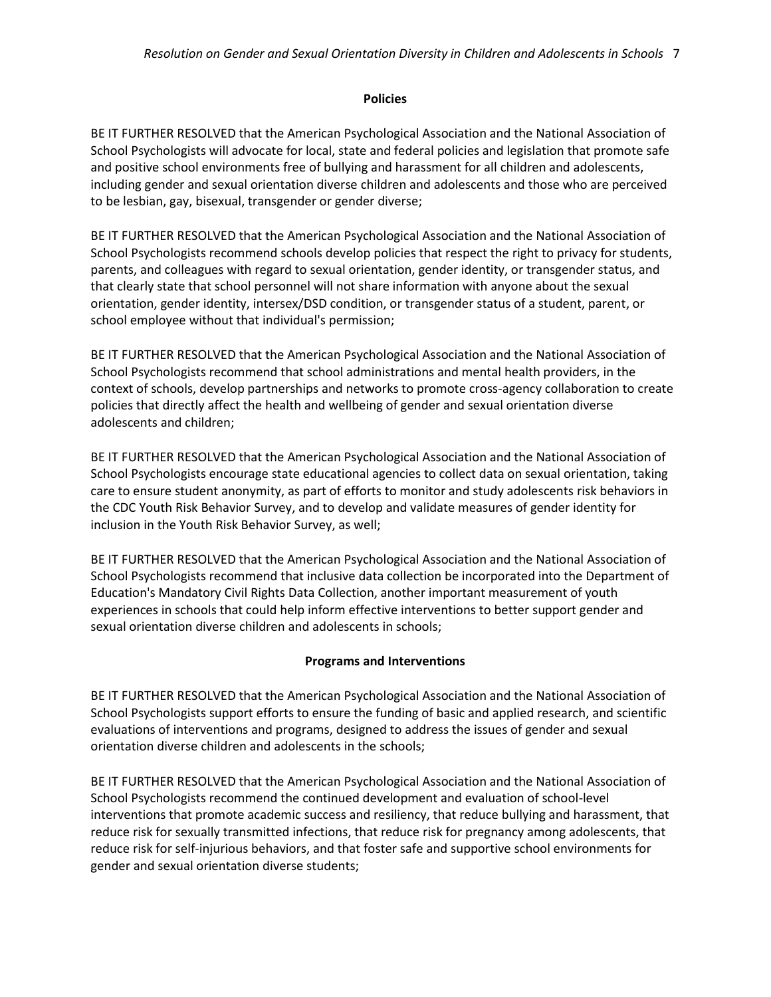### **Policies**

BE IT FURTHER RESOLVED that the American Psychological Association and the National Association of School Psychologists will advocate for local, state and federal policies and legislation that promote safe and positive school environments free of bullying and harassment for all children and adolescents, including gender and sexual orientation diverse children and adolescents and those who are perceived to be lesbian, gay, bisexual, transgender or gender diverse;

BE IT FURTHER RESOLVED that the American Psychological Association and the National Association of School Psychologists recommend schools develop policies that respect the right to privacy for students, parents, and colleagues with regard to sexual orientation, gender identity, or transgender status, and that clearly state that school personnel will not share information with anyone about the sexual orientation, gender identity, intersex/DSD condition, or transgender status of a student, parent, or school employee without that individual's permission;

BE IT FURTHER RESOLVED that the American Psychological Association and the National Association of School Psychologists recommend that school administrations and mental health providers, in the context of schools, develop partnerships and networks to promote cross-agency collaboration to create policies that directly affect the health and wellbeing of gender and sexual orientation diverse adolescents and children;

BE IT FURTHER RESOLVED that the American Psychological Association and the National Association of School Psychologists encourage state educational agencies to collect data on sexual orientation, taking care to ensure student anonymity, as part of efforts to monitor and study adolescents risk behaviors in the CDC Youth Risk Behavior Survey, and to develop and validate measures of gender identity for inclusion in the Youth Risk Behavior Survey, as well;

BE IT FURTHER RESOLVED that the American Psychological Association and the National Association of School Psychologists recommend that inclusive data collection be incorporated into the Department of Education's Mandatory Civil Rights Data Collection, another important measurement of youth experiences in schools that could help inform effective interventions to better support gender and sexual orientation diverse children and adolescents in schools;

### **Programs and Interventions**

BE IT FURTHER RESOLVED that the American Psychological Association and the National Association of School Psychologists support efforts to ensure the funding of basic and applied research, and scientific evaluations of interventions and programs, designed to address the issues of gender and sexual orientation diverse children and adolescents in the schools;

BE IT FURTHER RESOLVED that the American Psychological Association and the National Association of School Psychologists recommend the continued development and evaluation of school-level interventions that promote academic success and resiliency, that reduce bullying and harassment, that reduce risk for sexually transmitted infections, that reduce risk for pregnancy among adolescents, that reduce risk for self-injurious behaviors, and that foster safe and supportive school environments for gender and sexual orientation diverse students;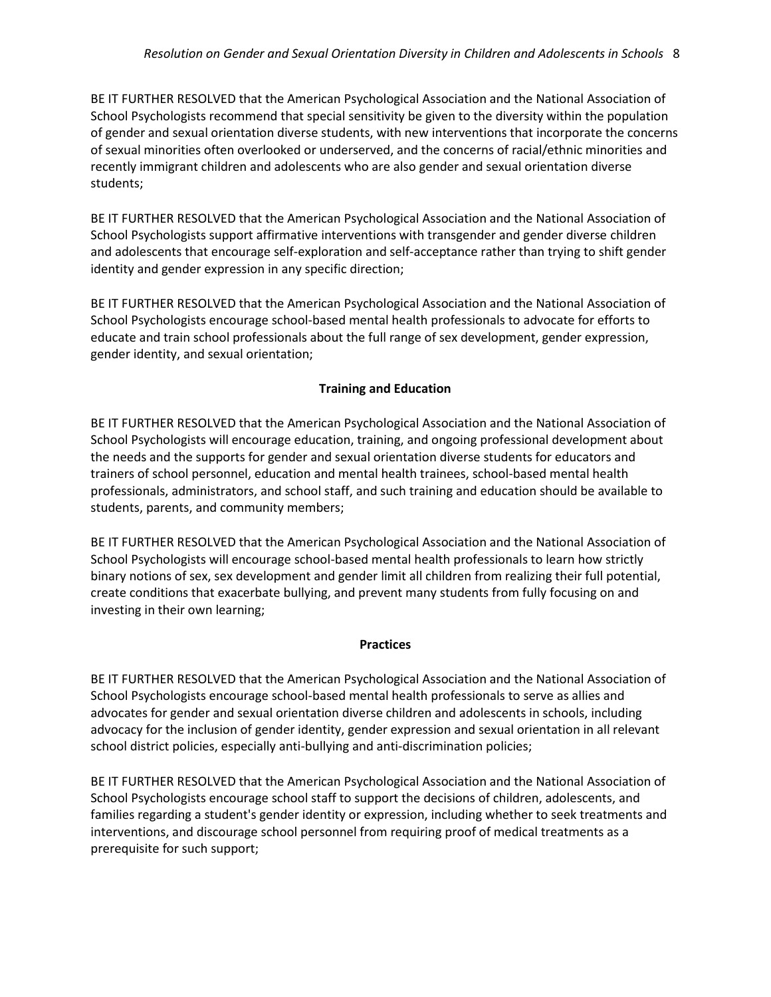BE IT FURTHER RESOLVED that the American Psychological Association and the National Association of School Psychologists recommend that special sensitivity be given to the diversity within the population of gender and sexual orientation diverse students, with new interventions that incorporate the concerns of sexual minorities often overlooked or underserved, and the concerns of racial/ethnic minorities and recently immigrant children and adolescents who are also gender and sexual orientation diverse students;

BE IT FURTHER RESOLVED that the American Psychological Association and the National Association of School Psychologists support affirmative interventions with transgender and gender diverse children and adolescents that encourage self-exploration and self-acceptance rather than trying to shift gender identity and gender expression in any specific direction;

BE IT FURTHER RESOLVED that the American Psychological Association and the National Association of School Psychologists encourage school-based mental health professionals to advocate for efforts to educate and train school professionals about the full range of sex development, gender expression, gender identity, and sexual orientation;

### **Training and Education**

BE IT FURTHER RESOLVED that the American Psychological Association and the National Association of School Psychologists will encourage education, training, and ongoing professional development about the needs and the supports for gender and sexual orientation diverse students for educators and trainers of school personnel, education and mental health trainees, school-based mental health professionals, administrators, and school staff, and such training and education should be available to students, parents, and community members;

BE IT FURTHER RESOLVED that the American Psychological Association and the National Association of School Psychologists will encourage school-based mental health professionals to learn how strictly binary notions of sex, sex development and gender limit all children from realizing their full potential, create conditions that exacerbate bullying, and prevent many students from fully focusing on and investing in their own learning;

### **Practices**

BE IT FURTHER RESOLVED that the American Psychological Association and the National Association of School Psychologists encourage school-based mental health professionals to serve as allies and advocates for gender and sexual orientation diverse children and adolescents in schools, including advocacy for the inclusion of gender identity, gender expression and sexual orientation in all relevant school district policies, especially anti-bullying and anti-discrimination policies;

BE IT FURTHER RESOLVED that the American Psychological Association and the National Association of School Psychologists encourage school staff to support the decisions of children, adolescents, and families regarding a student's gender identity or expression, including whether to seek treatments and interventions, and discourage school personnel from requiring proof of medical treatments as a prerequisite for such support;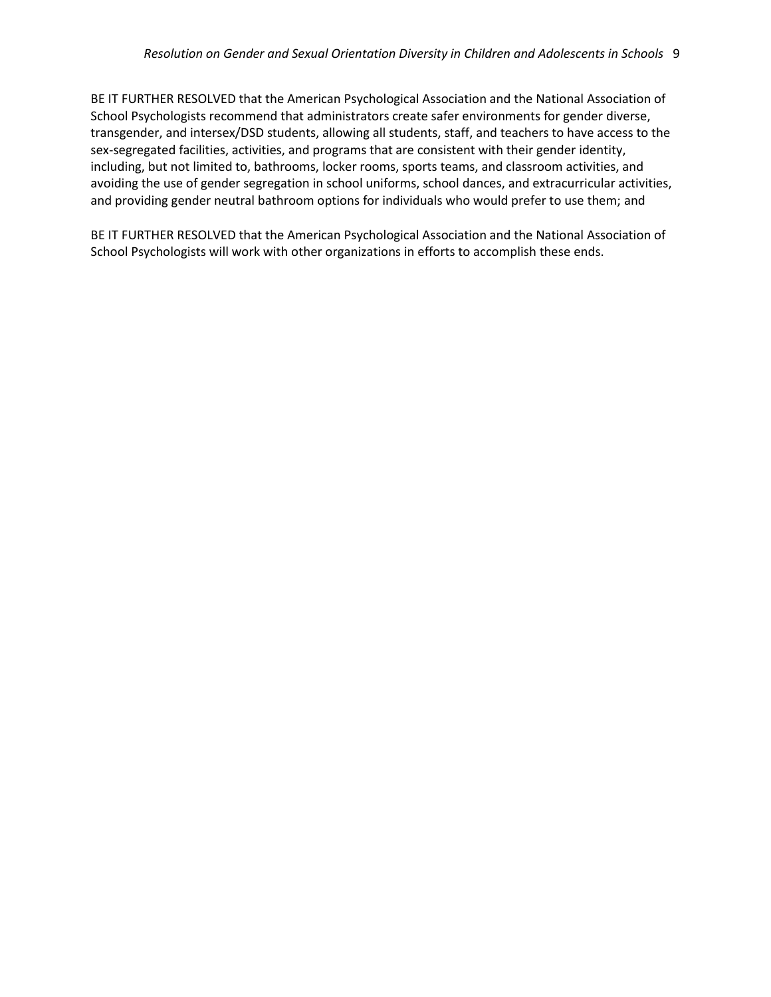BE IT FURTHER RESOLVED that the American Psychological Association and the National Association of School Psychologists recommend that administrators create safer environments for gender diverse, transgender, and intersex/DSD students, allowing all students, staff, and teachers to have access to the sex-segregated facilities, activities, and programs that are consistent with their gender identity, including, but not limited to, bathrooms, locker rooms, sports teams, and classroom activities, and avoiding the use of gender segregation in school uniforms, school dances, and extracurricular activities, and providing gender neutral bathroom options for individuals who would prefer to use them; and

BE IT FURTHER RESOLVED that the American Psychological Association and the National Association of School Psychologists will work with other organizations in efforts to accomplish these ends.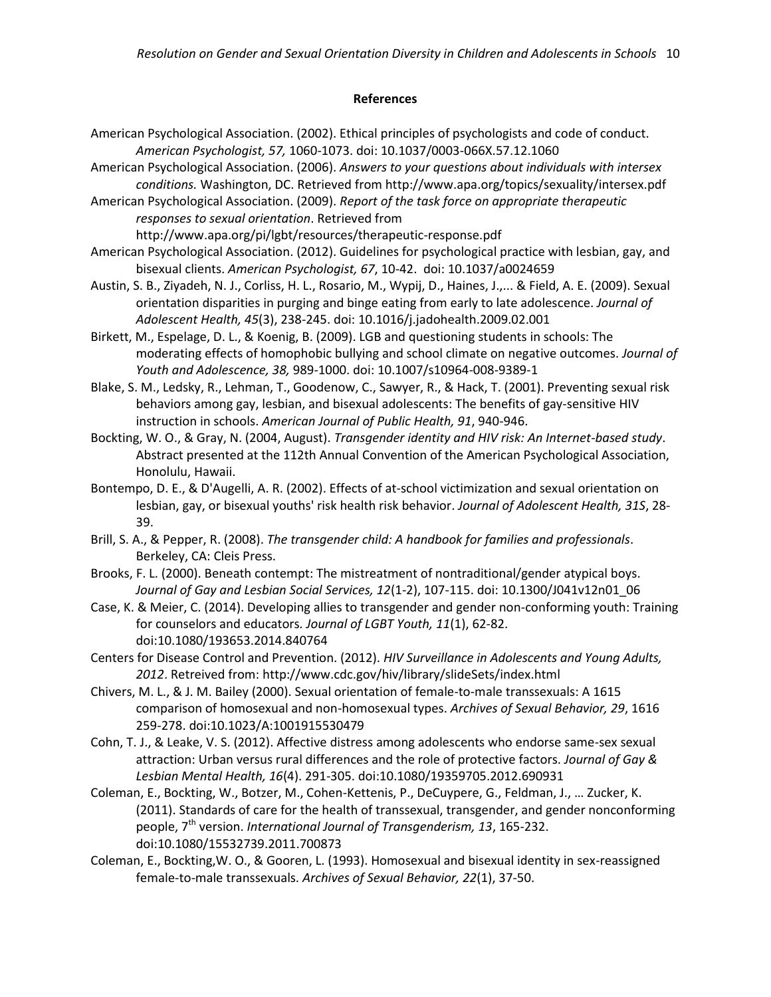#### **References**

- American Psychological Association. (2002). Ethical principles of psychologists and code of conduct. *American Psychologist, 57,* 1060-1073. doi: 10.1037/0003-066X.57.12.1060
- American Psychological Association. (2006). *Answers to your questions about individuals with intersex conditions.* Washington, DC. Retrieved from http://www.apa.org/topics/sexuality/intersex.pdf
- American Psychological Association. (2009). *Report of the task force on appropriate therapeutic responses to sexual orientation*. Retrieved from

<http://www.apa.org/pi/lgbt/resources/therapeutic-response.pdf>

- American Psychological Association. (2012). Guidelines for psychological practice with lesbian, gay, and bisexual clients. *American Psychologist, 67*, 10-42. doi: 10.1037/a0024659
- Austin, S. B., Ziyadeh, N. J., Corliss, H. L., Rosario, M., Wypij, D., Haines, J.,... & Field, A. E. (2009). Sexual orientation disparities in purging and binge eating from early to late adolescence. *Journal of Adolescent Health, 45*(3), 238-245. doi: 10.1016/j.jadohealth.2009.02.001
- Birkett, M., Espelage, D. L., & Koenig, B. (2009). LGB and questioning students in schools: The moderating effects of homophobic bullying and school climate on negative outcomes. *Journal of Youth and Adolescence, 38,* 989-1000. doi: 10.1007/s10964-008-9389-1
- Blake, S. M., Ledsky, R., Lehman, T., Goodenow, C., Sawyer, R., & Hack, T. (2001). Preventing sexual risk behaviors among gay, lesbian, and bisexual adolescents: The benefits of gay-sensitive HIV instruction in schools. *American Journal of Public Health, 91*, 940-946.
- Bockting, W. O., & Gray, N. (2004, August). *Transgender identity and HIV risk: An Internet-based study*. Abstract presented at the 112th Annual Convention of the American Psychological Association, Honolulu, Hawaii.
- Bontempo, D. E., & D'Augelli, A. R. (2002). Effects of at-school victimization and sexual orientation on lesbian, gay, or bisexual youths' risk health risk behavior. *Journal of Adolescent Health, 31S*, 28- 39.
- Brill, S. A., & Pepper, R. (2008). *The transgender child: A handbook for families and professionals*. Berkeley, CA: Cleis Press.
- Brooks, F. L. (2000). Beneath contempt: The mistreatment of nontraditional/gender atypical boys. *Journal of Gay and Lesbian Social Services, 12*(1-2), 107-115. doi: 10.1300/J041v12n01\_06
- Case, K. & Meier, C. (2014). Developing allies to transgender and gender non-conforming youth: Training for counselors and educators*. Journal of LGBT Youth, 11*(1), 62-82. doi:10.1080/193653.2014.840764
- Centers for Disease Control and Prevention. (2012). *HIV Surveillance in Adolescents and Young Adults, 2012*. Retreived from:<http://www.cdc.gov/hiv/library/slideSets/index.html>
- Chivers, M. L., & J. M. Bailey (2000). Sexual orientation of female-to-male transsexuals: A 1615 comparison of homosexual and non-homosexual types. *Archives of Sexual Behavior, 29*, 1616 259-278. doi:10.1023/A:1001915530479
- Cohn, T. J., & Leake, V. S. (2012). Affective distress among adolescents who endorse same-sex sexual attraction: Urban versus rural differences and the role of protective factors. *Journal of Gay & Lesbian Mental Health, 16*(4). 291-305. doi:10.1080/19359705.2012.690931
- Coleman, E., Bockting, W., Botzer, M., Cohen-Kettenis, P., DeCuypere, G., Feldman, J., … Zucker, K. (2011). Standards of care for the health of transsexual, transgender, and gender nonconforming people, 7<sup>th</sup> version. *International Journal of Transgenderism, 13,* 165-232. doi:10.1080/15532739.2011.700873
- Coleman, E., Bockting,W. O., & Gooren, L. (1993). Homosexual and bisexual identity in sex-reassigned female-to-male transsexuals. *Archives of Sexual Behavior, 22*(1), 37-50.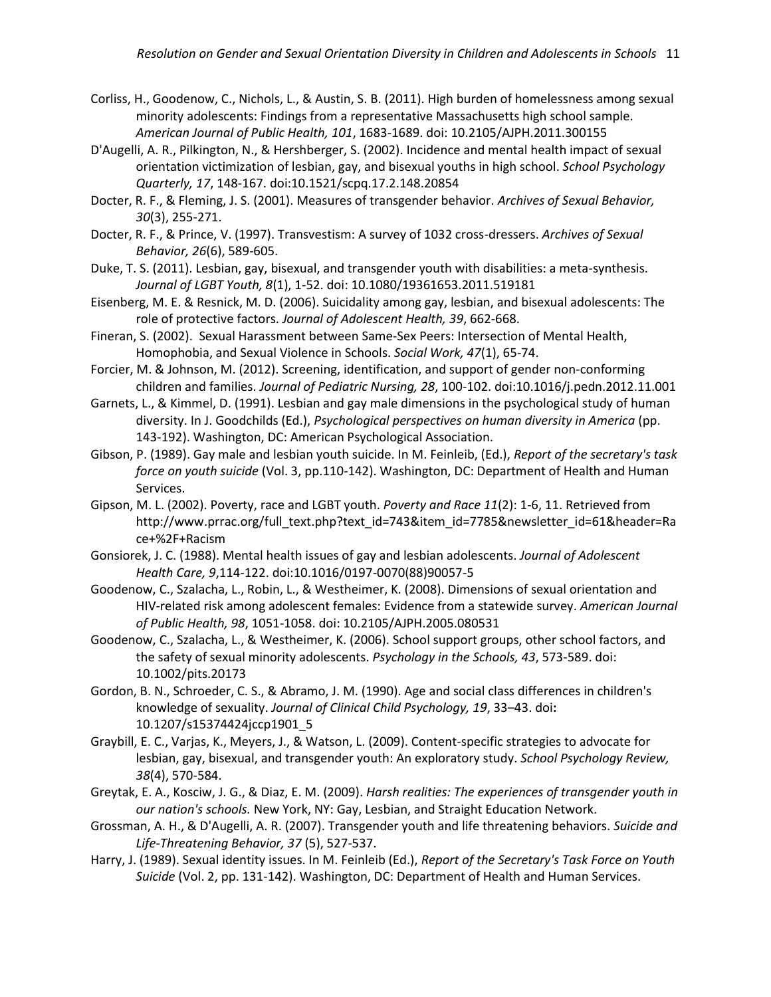- Corliss, H., Goodenow, C., Nichols, L., & Austin, S. B. (2011). High burden of homelessness among sexual minority adolescents: Findings from a representative Massachusetts high school sample. *American Journal of Public Health, 101*, 1683-1689. doi: 10.2105/AJPH.2011.300155
- D'Augelli, A. R., Pilkington, N., & Hershberger, S. (2002). Incidence and mental health impact of sexual orientation victimization of lesbian, gay, and bisexual youths in high school. *School Psychology Quarterly, 17*, 148-167. doi:10.1521/scpq.17.2.148.20854
- Docter, R. F., & Fleming, J. S. (2001). Measures of transgender behavior. *Archives of Sexual Behavior, 30*(3), 255-271.
- Docter, R. F., & Prince, V. (1997). Transvestism: A survey of 1032 cross-dressers. *Archives of Sexual Behavior, 26*(6), 589-605.
- Duke, T. S. (2011). Lesbian, gay, bisexual, and transgender youth with disabilities: a meta-synthesis. *Journal of LGBT Youth, 8*(1), 1-52. doi: 10.1080/19361653.2011.519181
- Eisenberg, M. E. & Resnick, M. D. (2006). Suicidality among gay, lesbian, and bisexual adolescents: The role of protective factors. *Journal of Adolescent Health, 39*, 662-668.
- Fineran, S. (2002). Sexual Harassment between Same-Sex Peers: Intersection of Mental Health, Homophobia, and Sexual Violence in Schools. *Social Work, 47*(1), 65-74.
- Forcier, M. & Johnson, M. (2012). Screening, identification, and support of gender non-conforming children and families. *Journal of Pediatric Nursing, 28*, 100-102[. doi:10.1016/j.pedn.2012.11.001](http://dx.doi.org/10.1016/j.pedn.2012.11.001)
- Garnets, L., & Kimmel, D. (1991). Lesbian and gay male dimensions in the psychological study of human diversity. In J. Goodchilds (Ed.), *Psychological perspectives on human diversity in America* (pp. 143-192). Washington, DC: American Psychological Association.
- Gibson, P. (1989). Gay male and lesbian youth suicide. In M. Feinleib, (Ed.), *Report of the secretary's task force on youth suicide* (Vol. 3, pp.110-142). Washington, DC: Department of Health and Human Services.
- Gipson, M. L. (2002). Poverty, race and LGBT youth. *Poverty and Race 11*(2): 1-6, 11. Retrieved from http://www.prrac.org/full\_text.php?text\_id=743&item\_id=7785&newsletter\_id=61&header=Ra ce+%2F+Racism
- Gonsiorek, J. C. (1988). Mental health issues of gay and lesbian adolescents. *Journal of Adolescent Health Care, 9*,114-122. doi:10.1016/0197-0070(88)90057-5
- Goodenow, C., Szalacha, L., Robin, L., & Westheimer, K. (2008). Dimensions of sexual orientation and HIV-related risk among adolescent females: Evidence from a statewide survey. *American Journal of Public Health, 98*, 1051-1058. doi: 10.2105/AJPH.2005.080531
- Goodenow, C., Szalacha, L., & Westheimer, K. (2006). School support groups, other school factors, and the safety of sexual minority adolescents. *Psychology in the Schools, 43*, 573-589. doi: 10.1002/pits.20173
- Gordon, B. N., Schroeder, C. S., & Abramo, J. M. (1990). Age and social class differences in children's knowledge of sexuality. *Journal of Clinical Child Psychology, 19*, 33–43. doi**:** 10.1207/s15374424jccp1901\_5
- Graybill, E. C., Varjas, K., Meyers, J., & Watson, L. (2009). Content-specific strategies to advocate for lesbian, gay, bisexual, and transgender youth: An exploratory study. *School Psychology Review, 38*(4), 570-584.
- Greytak, E. A., Kosciw, J. G., & Diaz, E. M. (2009). *Harsh realities: The experiences of transgender youth in our nation's schools.* New York, NY: Gay, Lesbian, and Straight Education Network.
- Grossman, A. H., & D'Augelli, A. R. (2007). Transgender youth and life threatening behaviors. *Suicide and Life-Threatening Behavior, 37* (5), 527-537.
- Harry, J. (1989). Sexual identity issues. In M. Feinleib (Ed.), *Report of the Secretary's Task Force on Youth Suicide* (Vol. 2, pp. 131-142). Washington, DC: Department of Health and Human Services.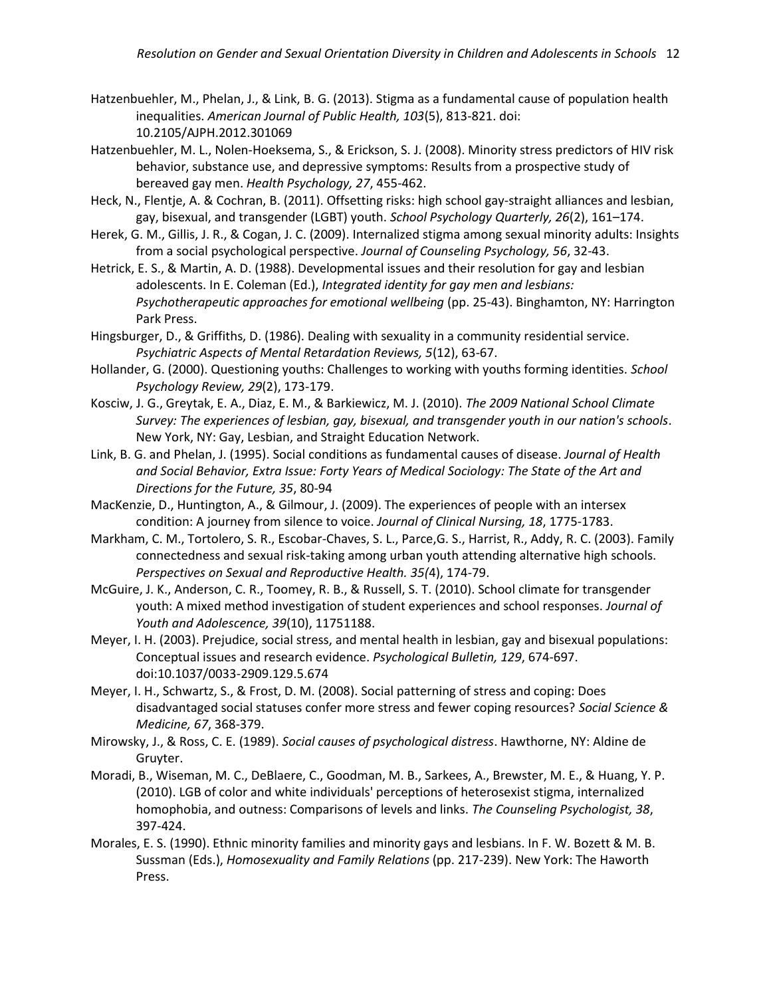- Hatzenbuehler, M., Phelan, J., & Link, B. G. (2013). Stigma as a fundamental cause of population health inequalities. *American Journal of Public Health, 103*(5), 813-821. doi: 10.2105/AJPH.2012.301069
- Hatzenbuehler, M. L., Nolen-Hoeksema, S., & Erickson, S. J. (2008). Minority stress predictors of HIV risk behavior, substance use, and depressive symptoms: Results from a prospective study of bereaved gay men. *Health Psychology, 27*, 455-462.
- Heck, N., Flentje, A. & Cochran, B. (2011). Offsetting risks: high school gay-straight alliances and lesbian, gay, bisexual, and transgender (LGBT) youth. *School Psychology Quarterly, 26*(2), 161–174.
- Herek, G. M., Gillis, J. R., & Cogan, J. C. (2009). Internalized stigma among sexual minority adults: Insights from a social psychological perspective. *Journal of Counseling Psychology, 56*, 32-43.
- Hetrick, E. S., & Martin, A. D. (1988). Developmental issues and their resolution for gay and lesbian adolescents. In E. Coleman (Ed.), *Integrated identity for gay men and lesbians: Psychotherapeutic approaches for emotional wellbeing* (pp. 25-43). Binghamton, NY: Harrington Park Press.
- Hingsburger, D., & Griffiths, D. (1986). Dealing with sexuality in a community residential service. *Psychiatric Aspects of Mental Retardation Reviews, 5*(12), 63-67.
- Hollander, G. (2000). Questioning youths: Challenges to working with youths forming identities. *School Psychology Review, 29*(2), 173-179.
- Kosciw, J. G., Greytak, E. A., Diaz, E. M., & Barkiewicz, M. J. (2010). *The 2009 National School Climate Survey: The experiences of lesbian, gay, bisexual, and transgender youth in our nation's schools*. New York, NY: Gay, Lesbian, and Straight Education Network.
- Link, B. G. and Phelan, J. (1995). Social conditions as fundamental causes of disease. *Journal of Health and Social Behavior, Extra Issue: Forty Years of Medical Sociology: The State of the Art and Directions for the Future, 35*, 80-94
- MacKenzie, D., Huntington, A., & Gilmour, J. (2009). The experiences of people with an intersex condition: A journey from silence to voice. *Journal of Clinical Nursing, 18*, 1775-1783.
- Markham, C. M., Tortolero, S. R., Escobar-Chaves, S. L., Parce,G. S., Harrist, R., Addy, R. C. (2003). Family connectedness and sexual risk-taking among urban youth attending alternative high schools. *Perspectives on Sexual and Reproductive Health. 35(*4), 174-79.
- McGuire, J. K., Anderson, C. R., Toomey, R. B., & Russell, S. T. (2010). School climate for transgender youth: A mixed method investigation of student experiences and school responses. *Journal of Youth and Adolescence, 39*(10), 11751188.
- Meyer, I. H. (2003). Prejudice, social stress, and mental health in lesbian, gay and bisexual populations: Conceptual issues and research evidence. *Psychological Bulletin, 129*, 674-697. doi:10.1037/0033-2909.129.5.674
- Meyer, I. H., Schwartz, S., & Frost, D. M. (2008). Social patterning of stress and coping: Does disadvantaged social statuses confer more stress and fewer coping resources? *Social Science & Medicine, 67*, 368-379.
- Mirowsky, J., & Ross, C. E. (1989). *Social causes of psychological distress*. Hawthorne, NY: Aldine de Gruyter.
- Moradi, B., Wiseman, M. C., DeBlaere, C., Goodman, M. B., Sarkees, A., Brewster, M. E., & Huang, Y. P. (2010). LGB of color and white individuals' perceptions of heterosexist stigma, internalized homophobia, and outness: Comparisons of levels and links. *The Counseling Psychologist, 38*, 397-424.
- Morales, E. S. (1990). Ethnic minority families and minority gays and lesbians. In F. W. Bozett & M. B. Sussman (Eds.), *Homosexuality and Family Relations* (pp. 217-239). New York: The Haworth Press.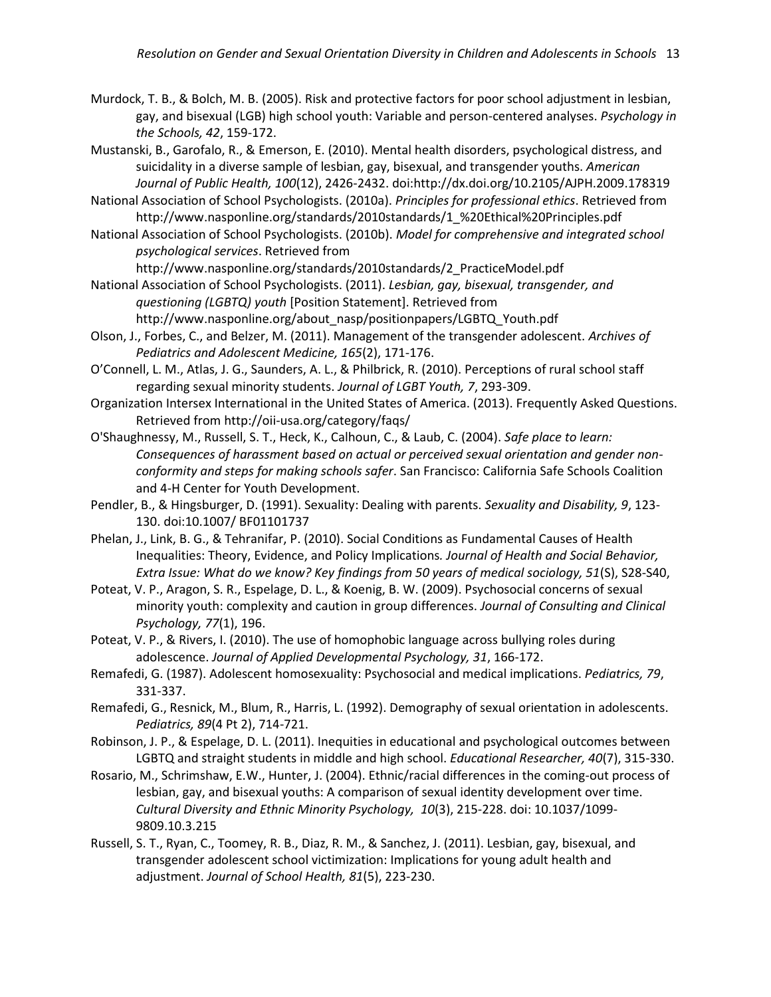- Murdock, T. B., & Bolch, M. B. (2005). Risk and protective factors for poor school adjustment in lesbian, gay, and bisexual (LGB) high school youth: Variable and person-centered analyses. *Psychology in the Schools, 42*, 159-172.
- Mustanski, B., Garofalo, R., & Emerson, E. (2010). Mental health disorders, psychological distress, and suicidality in a diverse sample of lesbian, gay, bisexual, and transgender youths. *American Journal of Public Health, 100*(12), 2426-2432. doi:http://dx.doi.org/10.2105/AJPH.2009.178319
- National Association of School Psychologists. (2010a). *Principles for professional ethics*. Retrieved from [http://www.nasponline.org/standards/2010standards/1\\_%20Ethical%20Principles.pdf](http://www.nasponline.org/standards/2010standards/1_%20Ethical%20Principles.pdf)
- National Association of School Psychologists. (2010b). *Model for comprehensive and integrated school psychological services*. Retrieved from

[http://www.nasponline.org/standards/2010standards/2\\_PracticeModel.pdf](http://www.nasponline.org/standards/2010standards/2_PracticeModel.pdf)

- National Association of School Psychologists. (2011). *Lesbian, gay, bisexual, transgender, and questioning (LGBTQ) youth* [Position Statement]. Retrieved from [http://www.nasponline.org/about\\_nasp/positionpapers/LGBTQ\\_Youth.pdf](http://www.nasponline.org/about_nasp/positionpapers/LGBTQ_Youth.pdf)
- Olson, J., Forbes, C., and Belzer, M. (2011). Management of the transgender adolescent. *Archives of Pediatrics and Adolescent Medicine, 165*(2), 171-176.
- O'Connell, L. M., Atlas, J. G., Saunders, A. L., & Philbrick, R. (2010). Perceptions of rural school staff regarding sexual minority students. *Journal of LGBT Youth, 7*, 293-309.
- Organization Intersex International in the United States of America. (2013). Frequently Asked Questions. Retrieved from<http://oii-usa.org/category/faqs/>
- O'Shaughnessy, M., Russell, S. T., Heck, K., Calhoun, C., & Laub, C. (2004). *Safe place to learn: Consequences of harassment based on actual or perceived sexual orientation and gender nonconformity and steps for making schools safer*. San Francisco: California Safe Schools Coalition and 4-H Center for Youth Development.
- Pendler, B., & Hingsburger, D. (1991). Sexuality: Dealing with parents. *Sexuality and Disability, 9*, 123- 130. doi:10.1007/ BF01101737
- Phelan, J., Link, B. G., & Tehranifar, P. (2010). Social Conditions as Fundamental Causes of Health Inequalities: Theory, Evidence, and Policy Implications*. Journal of Health and Social Behavior, Extra Issue: What do we know? Key findings from 50 years of medical sociology, 51*(S), S28-S40,
- Poteat, V. P., Aragon, S. R., Espelage, D. L., & Koenig, B. W. (2009). Psychosocial concerns of sexual minority youth: complexity and caution in group differences. *Journal of Consulting and Clinical Psychology, 77*(1), 196.
- Poteat, V. P., & Rivers, I. (2010). The use of homophobic language across bullying roles during adolescence. *Journal of Applied Developmental Psychology, 31*, 166-172.
- Remafedi, G. (1987). Adolescent homosexuality: Psychosocial and medical implications. *Pediatrics, 79*, 331-337.
- Remafedi, G., Resnick, M., Blum, R., Harris, L. (1992). Demography of sexual orientation in adolescents. *Pediatrics, 89*(4 Pt 2), 714-721.
- Robinson, J. P., & Espelage, D. L. (2011). Inequities in educational and psychological outcomes between LGBTQ and straight students in middle and high school. *Educational Researcher, 40*(7), 315-330.
- Rosario, M., Schrimshaw, E.W., Hunter, J. (2004). Ethnic/racial differences in the coming-out process of lesbian, gay, and bisexual youths: A comparison of sexual identity development over time. *Cultural Diversity and Ethnic Minority Psychology, 10*(3), 215-228. doi: 10.1037/1099- 9809.10.3.215
- Russell, S. T., Ryan, C., Toomey, R. B., Diaz, R. M., & Sanchez, J. (2011). Lesbian, gay, bisexual, and transgender adolescent school victimization: Implications for young adult health and adjustment. *Journal of School Health, 81*(5), 223-230.